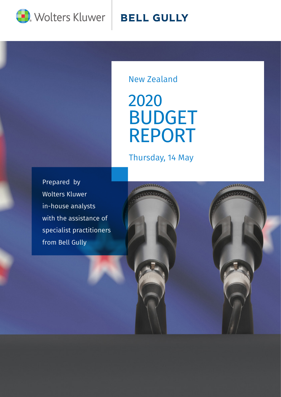

## **BELL GULLY**

New Zealand

2020 BUDGET REPORT

Thursday, 14 May

 $\overline{\phantom{a}}$  Drapared by  $t_{\text{t}}$  the parties  $\omega$ | Wolters Kluwer Prepared by in-house analysts with the assistance of specialist practitioners from Bell Gully

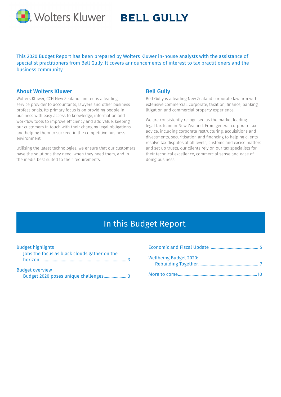

## **BELL GULLY**

This 2020 Budget Report has been prepared by Wolters Kluwer in-house analysts with the assistance of specialist practitioners from Bell Gully. It covers announcements of interest to tax practitioners and the business community.

### About Wolters Kluwer

Wolters Kluwer, CCH New Zealand Limited is a leading service provider to accountants, lawyers and other business professionals. Its primary focus is on providing people in business with easy access to knowledge, information and workflow tools to improve efficiency and add value, keeping our customers in touch with their changing legal obligations and helping them to succeed in the competitive business environment.

Utilising the latest technologies, we ensure that our customers have the solutions they need, when they need them, and in the media best suited to their requirements.

### Bell Gully

Bell Gully is a leading New Zealand corporate law firm with extensive commercial, corporate, taxation, finance, banking, litigation and commercial property experience.

We are consistently recognised as the market leading legal tax team in New Zealand. From general corporate tax advice, including corporate restructuring, acquisitions and divestments, securitisation and financing to helping clients resolve tax disputes at all levels, customs and excise matters and set up trusts, our clients rely on our tax specialists for their technical excellence, commercial sense and ease of doing business.

## In this Budget Report

| <b>Budget highlights</b>                                        | <b>Economic and</b>                        |
|-----------------------------------------------------------------|--------------------------------------------|
| Jobs the focus as black clouds gather on the                    | <b>Wellbeing Budg</b><br><b>Rebuilding</b> |
| <b>Budget overview</b><br>Budget 2020 poses unique challenges 3 | More to come                               |

| <b>Wellbeing Budget 2020:</b> |  |
|-------------------------------|--|
|                               |  |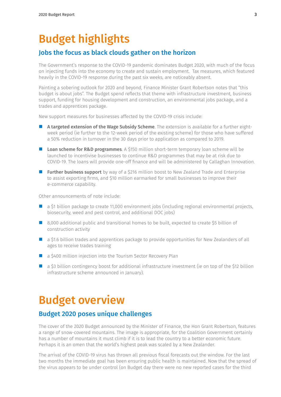# Budget highlights

### Jobs the focus as black clouds gather on the horizon

The Government's response to the COVID-19 pandemic dominates Budget 2020, with much of the focus on injecting funds into the economy to create and sustain employment. Tax measures, which featured heavily in the COVID-19 response during the past six weeks, are noticeably absent.

Painting a sobering outlook for 2020 and beyond, Finance Minister Grant Robertson notes that "this budget is about jobs". The Budget spend reflects that theme with infrastructure investment, business support, funding for housing development and construction, an environmental jobs package, and a trades and apprentices package.

New support measures for businesses affected by the COVID-19 crisis include:

- A targeted extension of the Wage Subsidy Scheme. The extension is available for a further eightweek period (ie further to the 12-week period of the existing scheme) for those who have suffered a 50% reduction in turnover in the 30 days prior to application as compared to 2019.
- **Loan scheme for R&D programmes.** A \$150 million short-term temporary loan scheme will be launched to incentivise businesses to continue R&D programmes that may be at risk due to COVID-19. The loans will provide one-off finance and will be administered by Callaghan Innovation.
- **Further business support** by way of a \$216 million boost to New Zealand Trade and Enterprise to assist exporting firms, and \$10 million earmarked for small businesses to improve their e-commerce capability.

Other announcements of note include:

- a \$1 billion package to create 11,000 environment jobs (including regional environmental projects, biosecurity, weed and pest control, and additional DOC jobs)
- 8,000 additional public and transitional homes to be built, expected to create \$5 billion of construction activity
- a \$1.6 billion trades and apprentices package to provide opportunities for New Zealanders of all ages to receive trades training
- a \$400 million injection into the Tourism Sector Recovery Plan
- a \$3 billion contingency boost for additional infrastructure investment (ie on top of the \$12 billion infrastructure scheme announced in January).

## Budget overview

## Budget 2020 poses unique challenges

The cover of the 2020 Budget announced by the Minister of Finance, the Hon Grant Robertson, features a range of snow-covered mountains. The image is appropriate, for the Coalition Government certainly has a number of mountains it must climb if it is to lead the country to a better economic future. Perhaps it is an omen that the world's highest peak was scaled by a New Zealander.

The arrival of the COVID-19 virus has thrown all previous fiscal forecasts out the window. For the last two months the immediate goal has been ensuring public health is maintained. Now that the spread of the virus appears to be under control (on Budget day there were no new reported cases for the third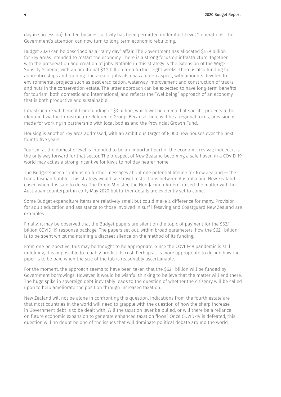day in succession), limited business activity has been permitted under Alert Level 2 operations. The Government's attention can now turn to long-term economic rebuilding.

Budget 2020 can be described as a "rainy day" affair. The Government has allocated \$15.9 billion for key areas intended to restart the economy. There is a strong focus on infrastructure, together with the preservation and creation of jobs. Notable in this strategy is the extension of the Wage Subsidy Scheme, with an additional \$3.2 billion for a further eight weeks. There is also funding for apprenticeships and training. The area of jobs also has a green aspect, with amounts devoted to environmental projects such as pest eradication, waterway improvement and construction of tracks and huts in the conservation estate. The latter approach can be expected to have long-term benefits for tourism, both domestic and international, and reflects the "Wellbeing" approach of an economy that is both productive and sustainable.

Infrastructure will benefit from funding of \$3 billion, which will be directed at specific projects to be identified via the Infrastructure Reference Group. Because there will be a regional focus, provision is made for working in partnership with local bodies and the Provincial Growth Fund.

Housing is another key area addressed, with an ambitious target of 8,000 new houses over the next four to five years.

Tourism at the domestic level is intended to be an important part of the economic revival; indeed, it is the only way forward for that sector. The prospect of New Zealand becoming a safe haven in a COVID-19 world may act as a strong incentive for Kiwis to holiday nearer home.

The Budget speech contains no further messages about one potential lifeline for New Zealand — the trans-Tasman bubble. This strategy would see travel restrictions between Australia and New Zealand eased when it is safe to do so. The Prime Minister, the Hon Jacinda Ardern, raised the matter with her Australian counterpart in early May 2020 but further details are evidently yet to come.

Some Budget expenditure items are relatively small but could make a difference for many. Provision for adult education and assistance to those involved in surf lifesaving and Coastguard New Zealand are examples.

Finally, it may be observed that the Budget papers are silent on the topic of payment for the \$62.1 billion COVID-19 response package. The papers set out, within broad parameters, how the \$62.1 billion is to be spent whilst maintaining a discreet silence on the method of its funding.

From one perspective, this may be thought to be appropriate. Since the COVID-19 pandemic is still unfolding, it is impossible to reliably predict its cost. Perhaps it is more appropriate to decide how the piper is to be paid when the size of the tab is reasonably ascertainable.

For the moment, the approach seems to have been taken that the \$62.1 billion will be funded by Government borrowings. However, it would be wishful thinking to believe that the matter will end there. The huge spike in sovereign debt inevitably leads to the question of whether the citizenry will be called upon to help ameliorate the position through increased taxation.

New Zealand will not be alone in confronting this question. Indications from the fourth estate are that most countries in the world will need to grapple with the question of how the sharp increase in Government debt is to be dealt with. Will the taxation lever be pulled, or will there be a reliance on future economic expansion to generate enhanced taxation flows? Once COVID-19 is defeated, this question will no doubt be one of the issues that will dominate political debate around the world.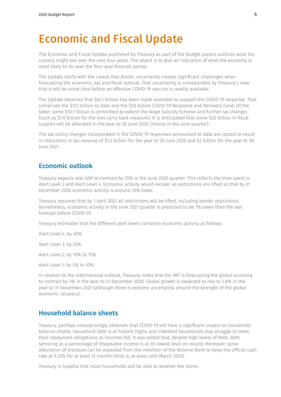## Economic and Fiscal Update

The Economic and Fiscal Update published by Treasury as part of the Budget papers outlines what the country might see over the next four years. The object is to give an indication of what the economy is most likely to do over the four-year forecast period.

The Update starts with the caveat that drastic uncertainly creates significant challenges when forecasting the economic, tax and fiscal outlook. That uncertainty is compounded by Treasury's view that it will be some time before an effective COVID-19 vaccine is readily available.

The Update observes that \$62.1 billion has been made available to support the COVID-19 response. That comprises the \$12.1 billion to date and the \$50 billion COVID-19 Response and Recovery Fund. Of the latter, some \$10.7 billion is committed to extend the Wage Subsidy Scheme and further tax changes (such as \$1.6 billion for the loss carry-back measure). It is anticipated that some \$20 billion in fiscal support will be allocated in the year to 30 June 2020 (mainly in the June quarter).

The tax policy changes incorporated in the COVID-19 responses announced to date are costed to result in reductions in tax revenue of \$1.2 billion for the year to 30 June 2020 and \$2 billion for the year to 30 June 2021.

### Economic outlook

Treasury expects real GDP to contract by 25% in the June 2020 quarter. This reflects the time spent in Alert Level 3 and Alert Level 4. Economic activity would recover as restrictions are lifted so that by 31 December 2020 economic activity is around 10% lower.

Treasury assumes that by 1 April 2021 all restrictions will be lifted, including border restrictions. Nonetheless, economic activity in the June 2021 quarter is predicted to be 7% lower than the last forecast before COVID-19.

Treasury estimates that the different alert levels constrain economic activity as follows:

Alert Level 4: by 40%

Alert Level 3: by 25%

Alert Level 2: by 10% to 15%

Alert Level 1: by 5% to 10%

In relation to the international outlook, Treasury notes that the IMF is forecasting the global economy to contract by 3% in the year to 31 December 2020. Global growth is expected to rise to 5.8% in the year to 31 December 2021 (although there is extreme uncertainty around the strength of the global economic recovery).

### Household balance sheets

Treasury, perhaps unsurprisingly, observes that COVID-19 will have a significant impact on household balance sheets. Household debt is at historic highs, and indebted households may struggle to meet their repayment obligations as incomes fall. It was added that, despite high levels of debt, debt servicing as a percentage of disposable income is at its lowest level on record. Moreover, some alleviation of pressure can be expected from the intention of the Reserve Bank to keep the official cash rate at 0.25% for at least 12 months (that is, at least until March 2021).

Treasury is hopeful that most households will be able to weather the storm.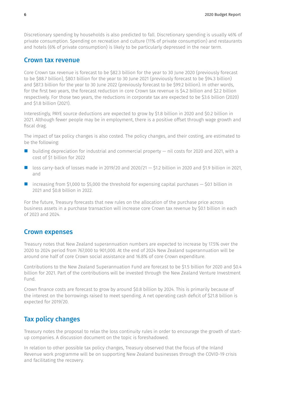Discretionary spending by households is also predicted to fall. Discretionary spending is usually 46% of private consumption. Spending on recreation and culture (11% of private consumption) and restaurants and hotels (6% of private consumption) is likely to be particularly depressed in the near term.

### Crown tax revenue

Core Crown tax revenue is forecast to be \$82.3 billion for the year to 30 June 2020 (previously forecast to be \$88.7 billion), \$80.1 billion for the year to 30 June 2021 (previously forecast to be \$94.3 billion) and \$87.3 billion for the year to 30 June 2022 (previously forecast to be \$99.2 billion). In other words, for the first two years, the forecast reduction in core Crown tax revenue is \$4.2 billion and \$2.2 billion respectively. For those two years, the reductions in corporate tax are expected to be \$3.6 billion (2020) and \$1.8 billion (2021).

Interestingly, PAYE source deductions are expected to grow by \$1.8 billion in 2020 and \$0.2 billion in 2021. Although fewer people may be in employment, there is a positive offset through wage growth and fiscal drag.

The impact of tax policy changes is also costed. The policy changes, and their costing, are estimated to be the following:

- $\blacksquare$  building depreciation for industrial and commercial property  $-$  nil costs for 2020 and 2021, with a cost of \$1 billion for 2022
- loss carry-back of losses made in 2019/20 and 2020/21 \$1.2 billion in 2020 and \$1.9 billion in 2021, and
- increasing from \$1,000 to \$5,000 the threshold for expensing capital purchases \$0.1 billion in 2021 and \$0.8 billion in 2022.

For the future, Treasury forecasts that new rules on the allocation of the purchase price across business assets in a purchase transaction will increase core Crown tax revenue by \$0.1 billion in each of 2023 and 2024.

### Crown expenses

Treasury notes that New Zealand superannuation numbers are expected to increase by 17.5% over the 2020 to 2024 period from 767,000 to 901,000. At the end of 2024 New Zealand superannuation will be around one half of core Crown social assistance and 16.8% of core Crown expenditure.

Contributions to the New Zealand Superannuation Fund are forecast to be \$1.5 billion for 2020 and \$0.4 billion for 2021. Part of the contributions will be invested through the New Zealand Venture Investment Fund.

Crown finance costs are forecast to grow by around \$0.8 billion by 2024. This is primarily because of the interest on the borrowings raised to meet spending. A net operating cash deficit of \$21.8 billion is expected for 2019/20.

### Tax policy changes

Treasury notes the proposal to relax the loss continuity rules in order to encourage the growth of startup companies. A discussion document on the topic is foreshadowed.

In relation to other possible tax policy changes, Treasury observed that the focus of the Inland Revenue work programme will be on supporting New Zealand businesses through the COVID-19 crisis and facilitating the recovery.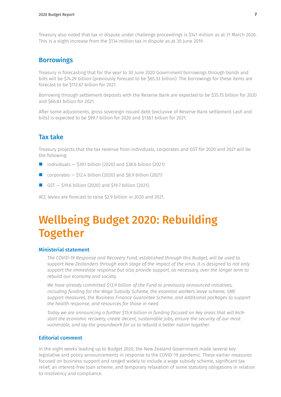Treasury also noted that tax in dispute under challenge proceedings is \$141 million as at 31 March 2020. This is a slight increase from the \$134 million tax in dispute as at 30 June 2019.

### **Borrowings**

Treasury is forecasting that for the year to 30 June 2020 Government borrowings through bonds and bills will be \$74.29 billion (previously forecast to be \$65.33 billion). The borrowings for these items are forecast to be \$112.67 billion for 2021.

Borrowing through settlement deposits with the Reserve Bank are expected to be \$35.75 billion for 2020 and \$66.83 billion for 2021.

After some adjustments, gross sovereign-issued debt (exclusive of Reserve Bank settlement cash and bills) is expected to be \$99.7 billion for 2020 and \$138.1 billion for 2021.

### Tax take

Treasury projects that the tax revenue from individuals, corporates and GST for 2020 and 2021 will be the following:

- individuals  $-$  \$39.1 billion (2020) and \$38.6 billion (2021)
- corporates \$12.4 billion (2020) and \$8.9 billion (2021)
- GST \$19.6 billion (2020) and \$19.7 billion (2021).

ACC levies are forecast to raise \$2.9 billion in 2020 and 2021.

# Wellbeing Budget 2020: Rebuilding Together

### Ministerial statement

*The COVID-19 Response and Recovery Fund, established through this Budget, will be used to support New Zealanders through each stage of the impact of the virus. It is designed to not only support the immediate response but also provide support, as necessary, over the longer term to rebuild our economy and society.* 

*We have already committed \$13.9 billion of the Fund to previously announced initiatives, including funding for the Wage Subsidy Scheme, the essential workers leave scheme, SME support measures, the Business Finance Guarantee Scheme, and additional packages to support the health response, and resources for those in need.* 

*Today we are announcing a further \$15.9 billion in funding focused on key areas that will kickstart the economic recovery, create decent, sustainable jobs, ensure the security of our most vulnerable, and lay the groundwork for us to rebuild a better nation together.*

### Editorial comment

In the eight weeks leading up to Budget 2020, the New Zealand Government made several key legislative and policy announcements in response to the COVID-19 pandemic. These earlier measures focused on business support and ranged widely to include a wage subsidy scheme, significant tax relief, an interest-free loan scheme, and temporary relaxation of some statutory obligations in relation to insolvency and compliance.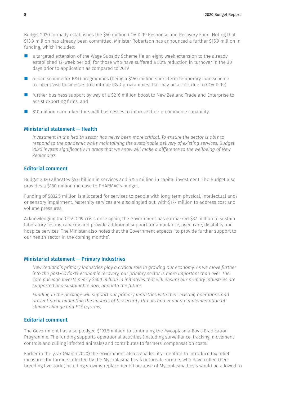Budget 2020 formally establishes the \$50 million COVID-19 Response and Recovery Fund. Noting that \$13.9 million has already been committed, Minister Robertson has announced a further \$15.9 million in funding, which includes:

- **E** a targeted extension of the Wage Subsidy Scheme (ie an eight-week extension to the already established 12-week period) for those who have suffered a 50% reduction in turnover in the 30 days prior to application as compared to 2019
- **a** loan scheme for R&D programmes (being a \$150 million short-term temporary loan scheme to incentivise businesses to continue R&D programmes that may be at risk due to COVID-19)
- **If** further business support by way of a \$216 million boost to New Zealand Trade and Enterprise to assist exporting firms, and
- \$10 million earmarked for small businesses to improve their e-commerce capability.

### Ministerial statement — Health

*Investment in the health sector has never been more critical. To ensure the sector is able to respond to the pandemic while maintaining the sustainable delivery of existing services, Budget 2020 invests significantly in areas that we know will make a difference to the wellbeing of New Zealanders.*

### Editorial comment

Budget 2020 allocates \$5.6 billion in services and \$755 million in capital investment. The Budget also provides a \$160 million increase to PHARMAC's budget.

Funding of \$832.5 million is allocated for services to people with long-term physical, intellectual and/ or sensory impairment. Maternity services are also singled out, with \$177 million to address cost and volume pressures.

Acknowledging the COVID-19 crisis once again, the Government has earmarked \$37 million to sustain laboratory testing capacity and provide additional support for ambulance, aged care, disability and hospice services. The Minister also notes that the Government expects "to provide further support to our health sector in the coming months".

#### Ministerial statement — Primary Industries

*New Zealand's primary industries play a critical role in growing our economy. As we move further into the post-Covid-19 economic recovery, our primary sector is more important than ever. The core package invests nearly \$500 million in initiatives that will ensure our primary industries are supported and sustainable now, and into the future.* 

*Funding in the package will support our primary industries with their existing operations and preventing or mitigating the impacts of biosecurity threats and enabling implementation of climate change and ETS reforms.*

### Editorial comment

The Government has also pledged \$193.5 million to continuing the Mycoplasma Bovis Eradication Programme. The funding supports operational activities (including surveillance, tracking, movement controls and culling infected animals) and contributes to farmers' compensation costs.

Earlier in the year (March 2020) the Government also signalled its intention to introduce tax relief measures for farmers affected by the Mycoplasma bovis outbreak. Farmers who have culled their breeding livestock (including growing replacements) because of Mycoplasma bovis would be allowed to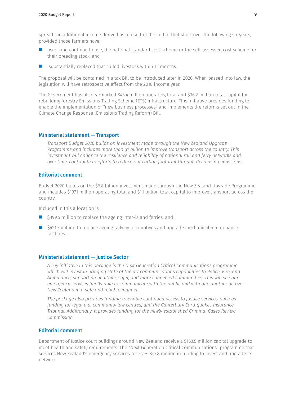spread the additional income derived as a result of the cull of that stock over the following six years, provided those farmers have:

- used, and continue to use, the national standard cost scheme or the self-assessed cost scheme for their breeding stock, and
- substantially replaced that culled livestock within 12 months.

The proposal will be contained in a tax Bill to be introduced later in 2020. When passed into law, the legislation will have retrospective effect from the 2018 income year.

The Government has also earmarked \$43.4 million operating total and \$36.2 million total capital for rebuilding forestry Emissions Trading Scheme (ETS) infrastructure. This initiative provides funding to enable the implementation of "new business processes" and implements the reforms set out in the Climate Change Response (Emissions Trading Reform) Bill.

#### Ministerial statement — Transport

*Transport Budget 2020 builds on investment made through the New Zealand Upgrade Programme and includes more than \$1 billion to improve transport across the country. This investment will enhance the resilience and reliability of national rail and ferry networks and, over time, contribute to efforts to reduce our carbon footprint through decreasing emissions.*

### Editorial comment

Budget 2020 builds on the \$6.8 billion investment made through the New Zealand Upgrade Programme and includes \$197.1 million operating total and \$1.1 billion total capital to improve transport across the country.

Included in this allocation is:

- \$399.5 million to replace the ageing inter-island ferries, and
- \$421.7 million to replace ageing railway locomotives and upgrade mechanical maintenance facilities.

### Ministerial statement — Justice Sector

*A key initiative in this package is the Next Generation Critical Communications programme which will invest in bringing state of the art communications capabilities to Police, Fire, and Ambulance, supporting healthier, safer, and more connected communities. This will see our emergency services finally able to communicate with the public and with one another all over New Zealand in a safe and reliable manner.*

*The package also provides funding to enable continued access to justice services, such as funding for legal aid, community law centres, and the Canterbury Earthquakes Insurance Tribunal. Additionally, it provides funding for the newly established Criminal Cases Review Commission.*

### Editorial comment

Department of Justice court buildings around New Zealand receive a \$163.5 million capital upgrade to meet health and safety requirements. The "Next Generation Critical Communications" programme that services New Zealand's emergency services receives \$47.8 million in funding to invest and upgrade its network.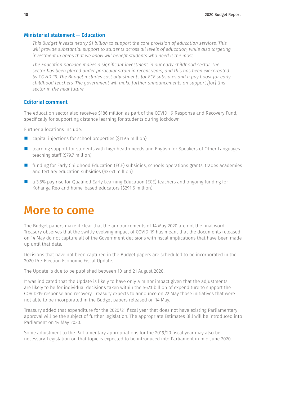### Ministerial statement — Education

*This Budget invests nearly \$1 billion to support the core provision of education services. This will provide substantial support to students across all levels of education, while also targeting investment in areas that we know will benefit students who need it the most.* 

*The Education package makes a significant investment in our early childhood sector. The sector has been placed under particular strain in recent years, and this has been exacerbated by COVID-19. The Budget includes cost adjustments for ECE subsidies and a pay boost for early childhood teachers. The government will make further announcements on support [for] this sector in the near future.* 

#### Editorial comment

The education sector also receives \$186 million as part of the COVID-19 Response and Recovery Fund, specifically for supporting distance learning for students during lockdown.

Further allocations include:

- capital injections for school properties (\$119.5 million)
- learning support for students with high health needs and English for Speakers of Other Languages teaching staff (\$79.7 million)
- funding for Early Childhood Education (ECE) subsidies, schools operations grants, trades academies and tertiary education subsidies (\$375.1 million)
- a 3.5% pay rise for Qualified Early Learning Education (ECE) teachers and ongoing funding for Kohanga Reo and home-based educators (\$291.6 million).

## More to come

The Budget papers make it clear that the announcements of 14 May 2020 are not the final word. Treasury observes that the swiftly evolving impact of COVID-19 has meant that the documents released on 14 May do not capture all of the Government decisions with fiscal implications that have been made up until that date.

Decisions that have not been captured in the Budget papers are scheduled to be incorporated in the 2020 Pre-Election Economic Fiscal Update.

The Update is due to be published between 10 and 21 August 2020.

It was indicated that the Update is likely to have only a minor impact given that the adjustments are likely to be for individual decisions taken within the \$62.1 billion of expenditure to support the COVID-19 response and recovery. Treasury expects to announce on 22 May those initiatives that were not able to be incorporated in the Budget papers released on 14 May.

Treasury added that expenditure for the 2020/21 fiscal year that does not have existing Parliamentary approval will be the subject of further legislation. The appropriate Estimates Bill will be introduced into Parliament on 14 May 2020.

Some adjustment to the Parliamentary appropriations for the 2019/20 fiscal year may also be necessary. Legislation on that topic is expected to be introduced into Parliament in mid-June 2020.